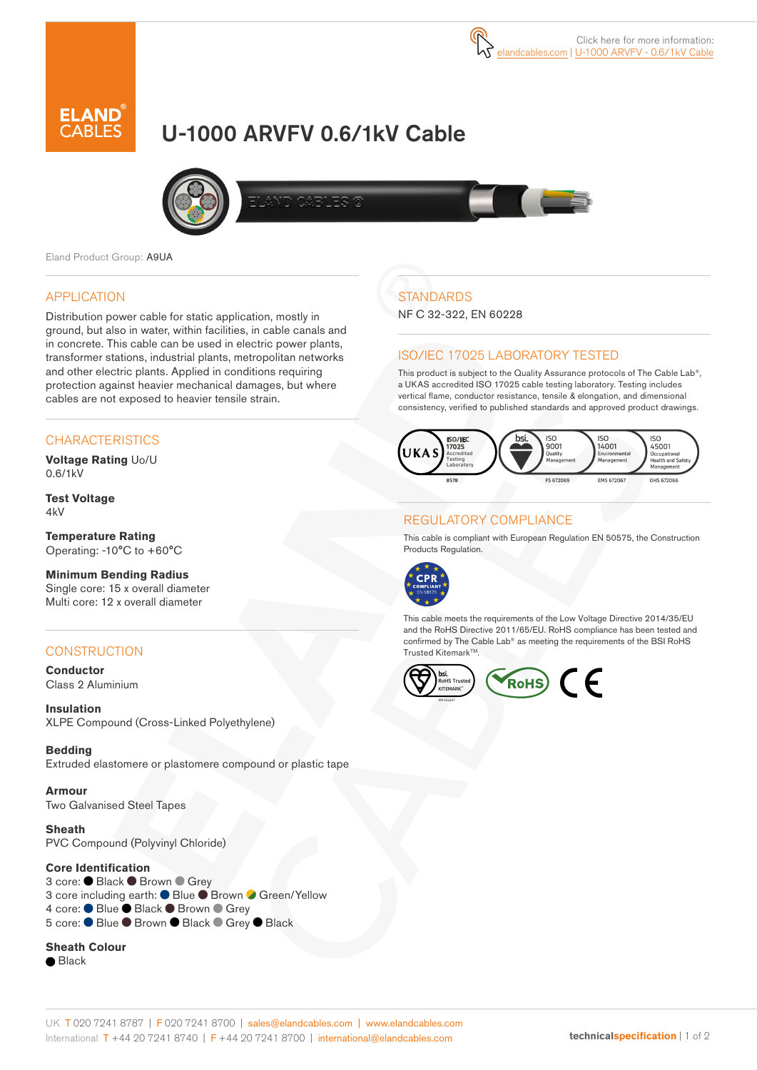# U-1000 ARVFV 0.6/1kV Cable



Eland Product Group: A9UA

#### APPLICATION

Distribution power cable for static application, mostly in ground, but also in water, within facilities, in cable canals and in concrete. This cable can be used in electric power plants, transformer stations, industrial plants, metropolitan networks and other electric plants. Applied in conditions requiring protection against heavier mechanical damages, but where cables are not exposed to heavier tensile strain.

#### **CHARACTERISTICS**

**Voltage Rating** Uo/U 0.6/1kV

**Test Voltage** 4kV

**Temperature Rating** Operating: -10°C to +60°C

#### **Minimum Bending Radius**

Single core: 15 x overall diameter Multi core: 12 x overall diameter

#### **CONSTRUCTION**

**Conductor** Class 2 Aluminium

**Insulation** XLPE Compound (Cross-Linked Polyethylene)

### **Bedding**

Extruded elastomere or plastomere compound or plastic tape

**Armour** Two Galvanised Steel Tapes

**Sheath** PVC Compound (Polyvinyl Chloride)

#### **Core Identification**

3 core: ● Black ● Brown ● Grey 3 core including earth: ● Blue ● Brown ● Green/Yellow 4 core: ● Blue ● Black ● Brown ● Grey 5 core: ● Blue ● Brown ● Black ● Grey ● Black

#### **Sheath Colour**

 $\bullet$  Black

# **STANDARDS**

NF C 32-322, EN 60228

#### ISO/IEC 17025 LABORATORY TESTED

This product is subject to the Quality Assurance protocols of The Cable Lab®, a UKAS accredited ISO 17025 cable testing laboratory. Testing includes vertical flame, conductor resistance, tensile & elongation, and dimensional consistency, verified to published standards and approved product drawings.



#### REGULATORY COMPLIANCE

This cable is compliant with European Regulation EN 50575, the Construction Products Regulation.



This cable meets the requirements of the Low Voltage Directive 2014/35/EU and the RoHS Directive 2011/65/EU. RoHS compliance has been tested and confirmed by The Cable Lab® as meeting the requirements of the BSI RoHS Trusted Kitemark™.